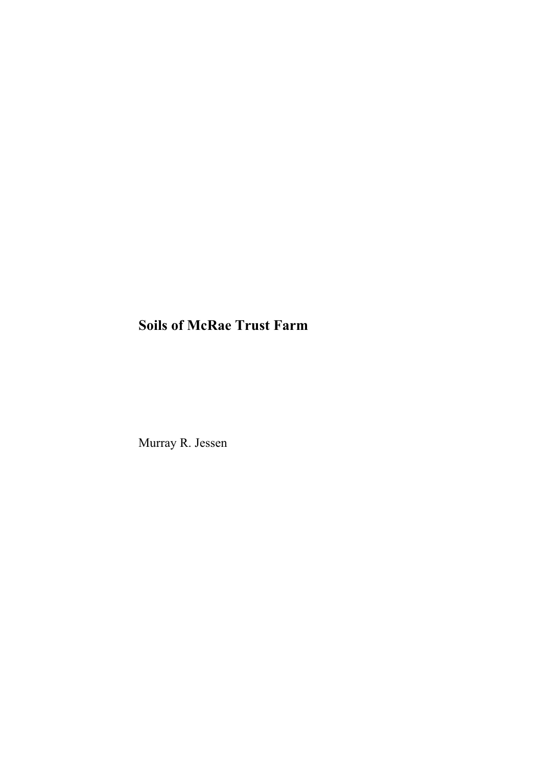# **Soils of McRae Trust Farm**

Murray R. Jessen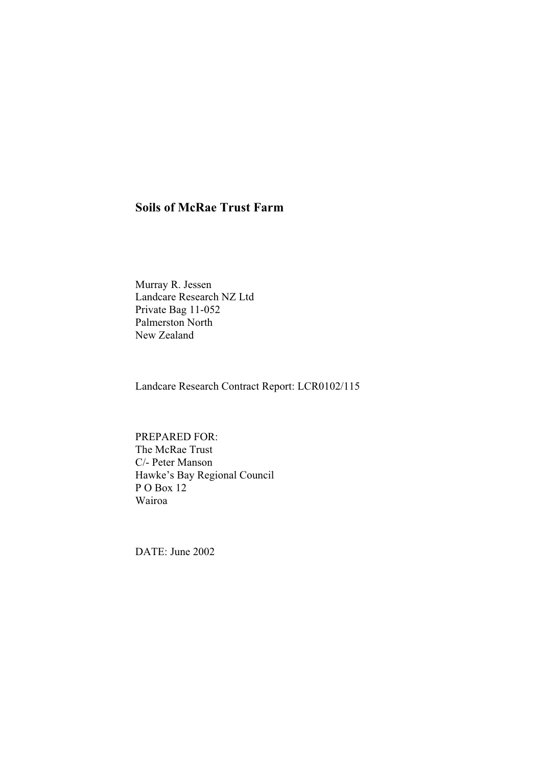# **Soils of McRae Trust Farm**

Murray R. Jessen Landcare Research NZ Ltd Private Bag 11-052 Palmerston North New Zealand

Landcare Research Contract Report: LCR0102/115

PREPARED FOR: The McRae Trust C/- Peter Manson Hawke's Bay Regional Council P O Box 12 Wairoa

DATE: June 2002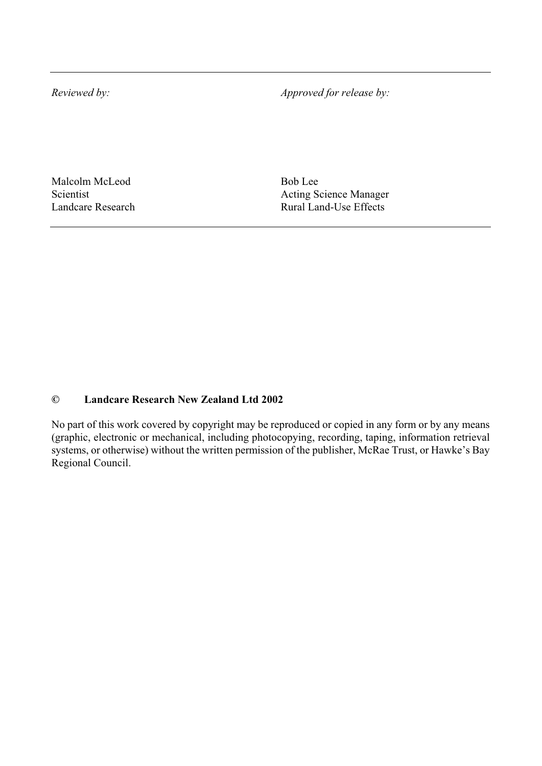*Reviewed by: Approved for release by:* 

Malcolm McLeod Bob Lee

Scientist<br>
Landcare Research<br>
Landcare Research<br>
Land-Use Effects Rural Land-Use Effects

#### **© Landcare Research New Zealand Ltd 2002**

No part of this work covered by copyright may be reproduced or copied in any form or by any means (graphic, electronic or mechanical, including photocopying, recording, taping, information retrieval systems, or otherwise) without the written permission of the publisher, McRae Trust, or Hawke's Bay Regional Council.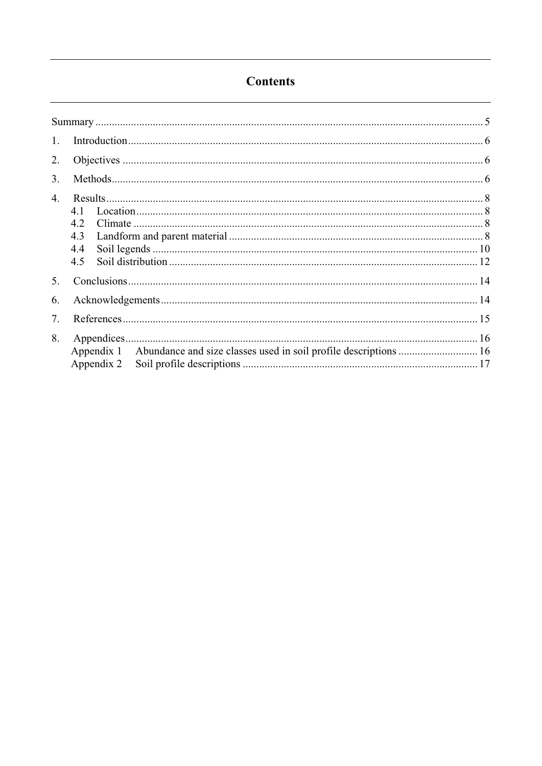# **Contents**

| 1.               |                                 |  |  |  |
|------------------|---------------------------------|--|--|--|
| 2.               |                                 |  |  |  |
| 3 <sub>1</sub>   |                                 |  |  |  |
| $\overline{4}$ . | 4.1<br>4.2<br>4.3<br>4.4<br>4.5 |  |  |  |
| 5.               |                                 |  |  |  |
| 6.               |                                 |  |  |  |
| 7.               |                                 |  |  |  |
| 8.               | Appendix 2                      |  |  |  |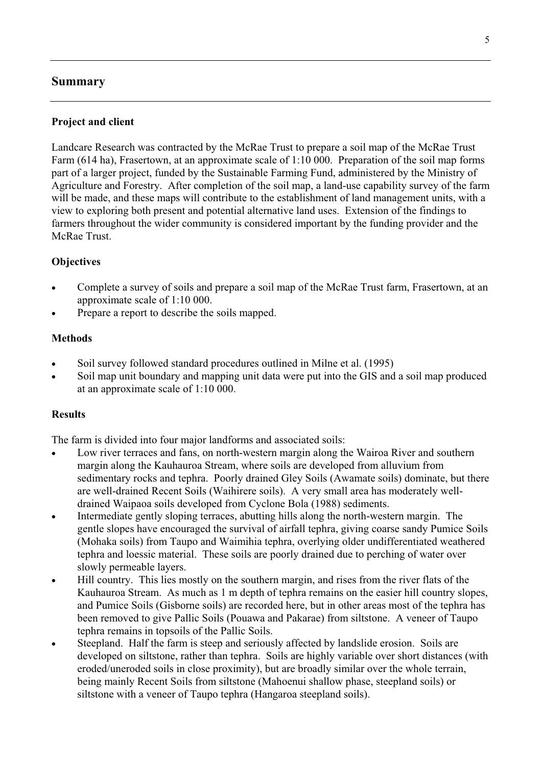### **Summary**

### **Project and client**

Landcare Research was contracted by the McRae Trust to prepare a soil map of the McRae Trust Farm (614 ha), Frasertown, at an approximate scale of 1:10 000. Preparation of the soil map forms part of a larger project, funded by the Sustainable Farming Fund, administered by the Ministry of Agriculture and Forestry. After completion of the soil map, a land-use capability survey of the farm will be made, and these maps will contribute to the establishment of land management units, with a view to exploring both present and potential alternative land uses. Extension of the findings to farmers throughout the wider community is considered important by the funding provider and the McRae Trust.

#### **Objectives**

- Complete a survey of soils and prepare a soil map of the McRae Trust farm, Frasertown, at an approximate scale of 1:10 000.
- Prepare a report to describe the soils mapped.

### **Methods**

- Soil survey followed standard procedures outlined in Milne et al. (1995)
- Soil map unit boundary and mapping unit data were put into the GIS and a soil map produced at an approximate scale of 1:10 000.

#### **Results**

The farm is divided into four major landforms and associated soils:

- Low river terraces and fans, on north-western margin along the Wairoa River and southern margin along the Kauhauroa Stream, where soils are developed from alluvium from sedimentary rocks and tephra. Poorly drained Gley Soils (Awamate soils) dominate, but there are well-drained Recent Soils (Waihirere soils). A very small area has moderately welldrained Waipaoa soils developed from Cyclone Bola (1988) sediments.
- Intermediate gently sloping terraces, abutting hills along the north-western margin. The gentle slopes have encouraged the survival of airfall tephra, giving coarse sandy Pumice Soils (Mohaka soils) from Taupo and Waimihia tephra, overlying older undifferentiated weathered tephra and loessic material. These soils are poorly drained due to perching of water over slowly permeable layers.
- Hill country. This lies mostly on the southern margin, and rises from the river flats of the Kauhauroa Stream. As much as 1 m depth of tephra remains on the easier hill country slopes, and Pumice Soils (Gisborne soils) are recorded here, but in other areas most of the tephra has been removed to give Pallic Soils (Pouawa and Pakarae) from siltstone. A veneer of Taupo tephra remains in topsoils of the Pallic Soils.
- Steepland. Half the farm is steep and seriously affected by landslide erosion. Soils are developed on siltstone, rather than tephra. Soils are highly variable over short distances (with eroded/uneroded soils in close proximity), but are broadly similar over the whole terrain, being mainly Recent Soils from siltstone (Mahoenui shallow phase, steepland soils) or siltstone with a veneer of Taupo tephra (Hangaroa steepland soils).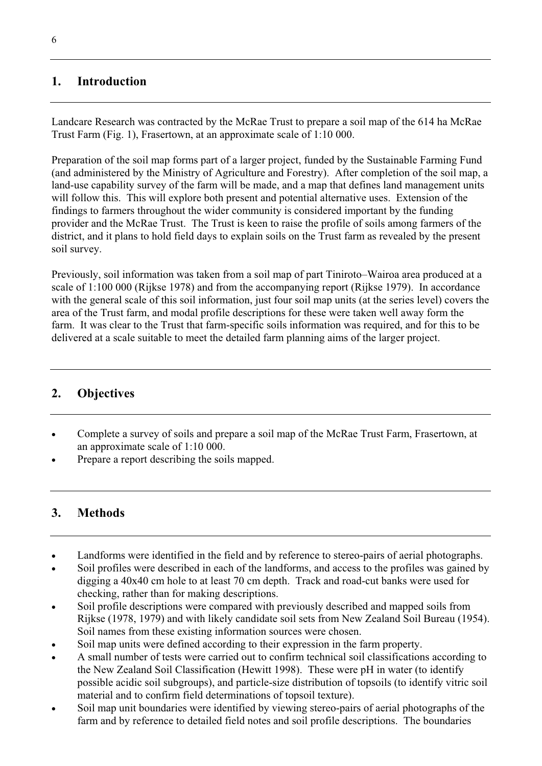## **1. Introduction**

Landcare Research was contracted by the McRae Trust to prepare a soil map of the 614 ha McRae Trust Farm (Fig. 1), Frasertown, at an approximate scale of 1:10 000.

Preparation of the soil map forms part of a larger project, funded by the Sustainable Farming Fund (and administered by the Ministry of Agriculture and Forestry). After completion of the soil map, a land-use capability survey of the farm will be made, and a map that defines land management units will follow this. This will explore both present and potential alternative uses. Extension of the findings to farmers throughout the wider community is considered important by the funding provider and the McRae Trust. The Trust is keen to raise the profile of soils among farmers of the district, and it plans to hold field days to explain soils on the Trust farm as revealed by the present soil survey.

Previously, soil information was taken from a soil map of part Tiniroto–Wairoa area produced at a scale of 1:100 000 (Rijkse 1978) and from the accompanying report (Rijkse 1979). In accordance with the general scale of this soil information, just four soil map units (at the series level) covers the area of the Trust farm, and modal profile descriptions for these were taken well away form the farm. It was clear to the Trust that farm-specific soils information was required, and for this to be delivered at a scale suitable to meet the detailed farm planning aims of the larger project.

# **2. Objectives**

- Complete a survey of soils and prepare a soil map of the McRae Trust Farm, Frasertown, at an approximate scale of 1:10 000.
- Prepare a report describing the soils mapped.

# **3. Methods**

- Landforms were identified in the field and by reference to stereo-pairs of aerial photographs.
- Soil profiles were described in each of the landforms, and access to the profiles was gained by digging a 40x40 cm hole to at least 70 cm depth. Track and road-cut banks were used for checking, rather than for making descriptions.
- Soil profile descriptions were compared with previously described and mapped soils from Rijkse (1978, 1979) and with likely candidate soil sets from New Zealand Soil Bureau (1954). Soil names from these existing information sources were chosen.
- Soil map units were defined according to their expression in the farm property.
- x A small number of tests were carried out to confirm technical soil classifications according to the New Zealand Soil Classification (Hewitt 1998). These were pH in water (to identify possible acidic soil subgroups), and particle-size distribution of topsoils (to identify vitric soil material and to confirm field determinations of topsoil texture).
- Soil map unit boundaries were identified by viewing stereo-pairs of aerial photographs of the farm and by reference to detailed field notes and soil profile descriptions. The boundaries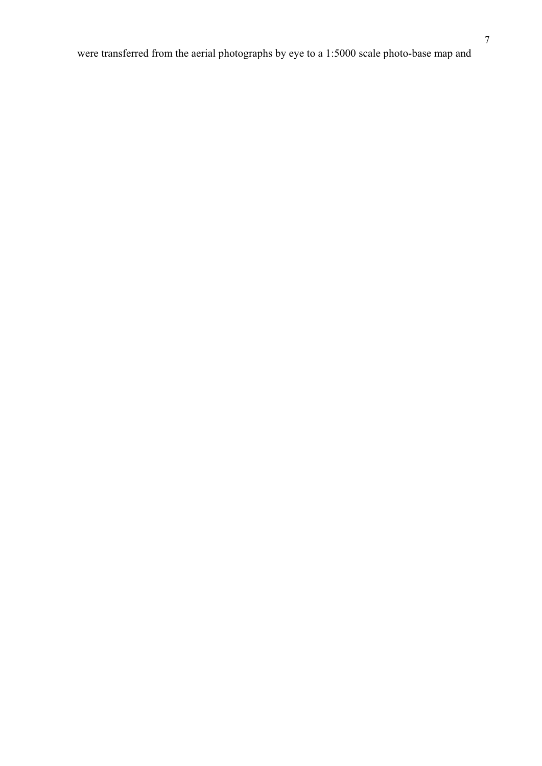were transferred from the aerial photographs by eye to a 1:5000 scale photo-base map and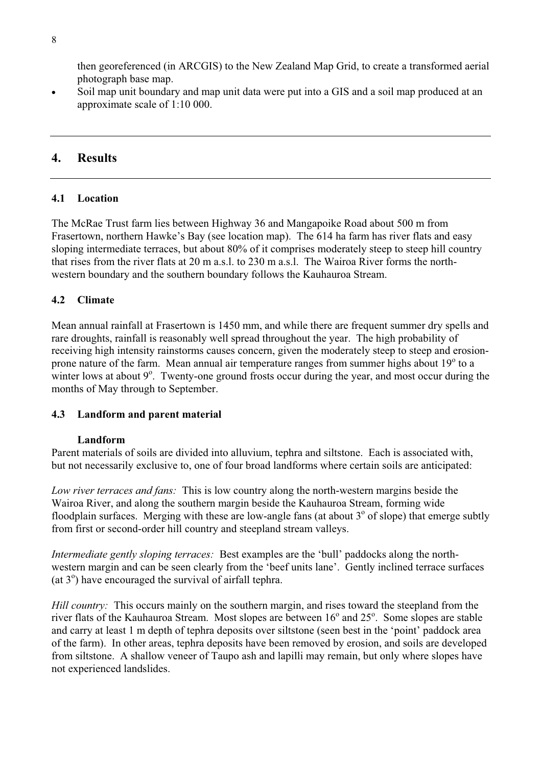then georeferenced (in ARCGIS) to the New Zealand Map Grid, to create a transformed aerial photograph base map.

Soil map unit boundary and map unit data were put into a GIS and a soil map produced at an approximate scale of 1:10 000.

### **4. Results**

### **4.1 Location**

The McRae Trust farm lies between Highway 36 and Mangapoike Road about 500 m from Frasertown, northern Hawke's Bay (see location map). The 614 ha farm has river flats and easy sloping intermediate terraces, but about 80% of it comprises moderately steep to steep hill country that rises from the river flats at 20 m a.s.l. to 230 m a.s.l. The Wairoa River forms the northwestern boundary and the southern boundary follows the Kauhauroa Stream.

### **4.2 Climate**

Mean annual rainfall at Frasertown is 1450 mm, and while there are frequent summer dry spells and rare droughts, rainfall is reasonably well spread throughout the year. The high probability of receiving high intensity rainstorms causes concern, given the moderately steep to steep and erosionprone nature of the farm. Mean annual air temperature ranges from summer highs about 19° to a winter lows at about  $9^\circ$ . Twenty-one ground frosts occur during the year, and most occur during the months of May through to September.

### **4.3 Landform and parent material**

### **Landform**

Parent materials of soils are divided into alluvium, tephra and siltstone. Each is associated with, but not necessarily exclusive to, one of four broad landforms where certain soils are anticipated:

*Low river terraces and fans:* This is low country along the north-western margins beside the Wairoa River, and along the southern margin beside the Kauhauroa Stream, forming wide floodplain surfaces. Merging with these are low-angle fans (at about  $3^\circ$  of slope) that emerge subtly from first or second-order hill country and steepland stream valleys.

*Intermediate gently sloping terraces:* Best examples are the 'bull' paddocks along the northwestern margin and can be seen clearly from the 'beef units lane'. Gently inclined terrace surfaces (at  $3^{\circ}$ ) have encouraged the survival of airfall tephra.

*Hill country:* This occurs mainly on the southern margin, and rises toward the steepland from the river flats of the Kauhauroa Stream. Most slopes are between 16° and 25°. Some slopes are stable and carry at least 1 m depth of tephra deposits over siltstone (seen best in the 'point' paddock area of the farm). In other areas, tephra deposits have been removed by erosion, and soils are developed from siltstone. A shallow veneer of Taupo ash and lapilli may remain, but only where slopes have not experienced landslides.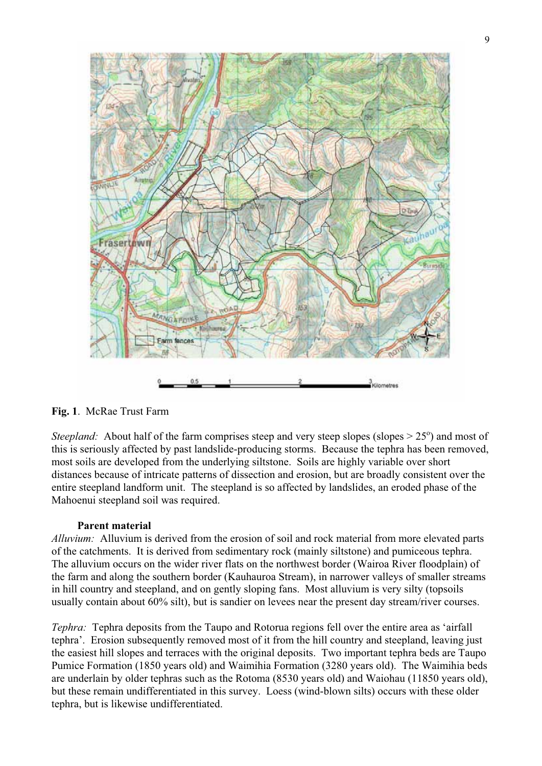

**Fig. 1**. McRae Trust Farm

*Steepland:* About half of the farm comprises steep and very steep slopes (slopes  $> 25^{\circ}$ ) and most of this is seriously affected by past landslide-producing storms. Because the tephra has been removed, most soils are developed from the underlying siltstone. Soils are highly variable over short distances because of intricate patterns of dissection and erosion, but are broadly consistent over the entire steepland landform unit. The steepland is so affected by landslides, an eroded phase of the Mahoenui steepland soil was required.

### **Parent material**

*Alluvium:* Alluvium is derived from the erosion of soil and rock material from more elevated parts of the catchments. It is derived from sedimentary rock (mainly siltstone) and pumiceous tephra. The alluvium occurs on the wider river flats on the northwest border (Wairoa River floodplain) of the farm and along the southern border (Kauhauroa Stream), in narrower valleys of smaller streams in hill country and steepland, and on gently sloping fans. Most alluvium is very silty (topsoils usually contain about 60% silt), but is sandier on levees near the present day stream/river courses.

*Tephra:* Tephra deposits from the Taupo and Rotorua regions fell over the entire area as 'airfall tephra'. Erosion subsequently removed most of it from the hill country and steepland, leaving just the easiest hill slopes and terraces with the original deposits. Two important tephra beds are Taupo Pumice Formation (1850 years old) and Waimihia Formation (3280 years old). The Waimihia beds are underlain by older tephras such as the Rotoma (8530 years old) and Waiohau (11850 years old), but these remain undifferentiated in this survey. Loess (wind-blown silts) occurs with these older tephra, but is likewise undifferentiated.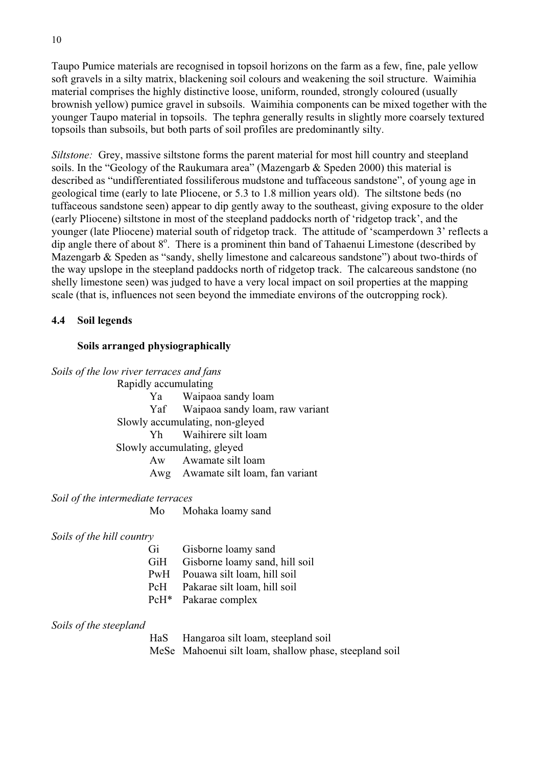Taupo Pumice materials are recognised in topsoil horizons on the farm as a few, fine, pale yellow soft gravels in a silty matrix, blackening soil colours and weakening the soil structure. Waimihia material comprises the highly distinctive loose, uniform, rounded, strongly coloured (usually brownish yellow) pumice gravel in subsoils. Waimihia components can be mixed together with the younger Taupo material in topsoils. The tephra generally results in slightly more coarsely textured topsoils than subsoils, but both parts of soil profiles are predominantly silty.

*Siltstone:* Grey, massive siltstone forms the parent material for most hill country and steepland soils. In the "Geology of the Raukumara area" (Mazengarb & Speden 2000) this material is described as "undifferentiated fossiliferous mudstone and tuffaceous sandstone", of young age in geological time (early to late Pliocene, or 5.3 to 1.8 million years old). The siltstone beds (no tuffaceous sandstone seen) appear to dip gently away to the southeast, giving exposure to the older (early Pliocene) siltstone in most of the steepland paddocks north of 'ridgetop track', and the younger (late Pliocene) material south of ridgetop track. The attitude of 'scamperdown 3' reflects a dip angle there of about 8°. There is a prominent thin band of Tahaenui Limestone (described by Mazengarb & Speden as "sandy, shelly limestone and calcareous sandstone") about two-thirds of the way upslope in the steepland paddocks north of ridgetop track. The calcareous sandstone (no shelly limestone seen) was judged to have a very local impact on soil properties at the mapping scale (that is, influences not seen beyond the immediate environs of the outcropping rock).

### **4.4 Soil legends**

### **Soils arranged physiographically**

*Soils of the low river terraces and fans*  Rapidly accumulating Ya Waipaoa sandy loam Yaf Waipaoa sandy loam, raw variant Slowly accumulating, non-gleyed Yh Waihirere silt loam Slowly accumulating, gleyed Aw Awamate silt loam Awg Awamate silt loam, fan variant

*Soil of the intermediate terraces* 

Mo Mohaka loamy sand

*Soils of the hill country* 

| Gi         | Gisborne loamy sand             |
|------------|---------------------------------|
| <b>GiH</b> | Gisborne loamy sand, hill soil  |
|            | PwH Pouawa silt loam, hill soil |
| <b>PcH</b> | Pakarae silt loam, hill soil    |
| $PcH*$     | Pakarae complex                 |

*Soils of the steepland*

 HaS Hangaroa silt loam, steepland soil MeSe Mahoenui silt loam, shallow phase, steepland soil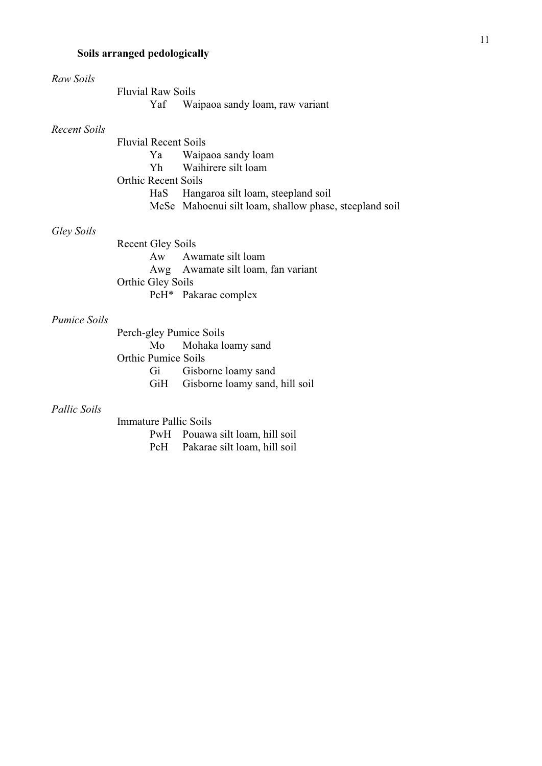# **Soils arranged pedologically**

| Raw Soils           |                             |                                                        |
|---------------------|-----------------------------|--------------------------------------------------------|
|                     | <b>Fluvial Raw Soils</b>    |                                                        |
|                     |                             | Yaf Waipaoa sandy loam, raw variant                    |
| Recent Soils        |                             |                                                        |
|                     | <b>Fluvial Recent Soils</b> |                                                        |
|                     |                             | Ya Waipaoa sandy loam                                  |
|                     |                             | Yh Waihirere silt loam                                 |
|                     | <b>Orthic Recent Soils</b>  |                                                        |
|                     |                             | HaS Hangaroa silt loam, steepland soil                 |
|                     |                             | MeSe Mahoenui silt loam, shallow phase, steepland soil |
| Gley Soils          |                             |                                                        |
|                     | <b>Recent Gley Soils</b>    |                                                        |
|                     |                             | Aw Awamate silt loam                                   |
|                     |                             | Awg Awamate silt loam, fan variant                     |
|                     | Orthic Gley Soils           |                                                        |
|                     |                             | PcH* Pakarae complex                                   |
| <i>Pumice Soils</i> |                             |                                                        |
|                     | Perch-gley Pumice Soils     |                                                        |
|                     | Mo                          | Mohaka loamy sand                                      |
|                     | <b>Orthic Pumice Soils</b>  |                                                        |
|                     |                             | Gi Gisborne loamy sand                                 |
|                     |                             | GiH Gisborne loamy sand, hill soil                     |
|                     |                             |                                                        |

## *Pallic Soils*

Immature Pallic Soils PwH Pouawa silt loam, hill soil<br>PcH Pakarae silt loam, hill soil Pakarae silt loam, hill soil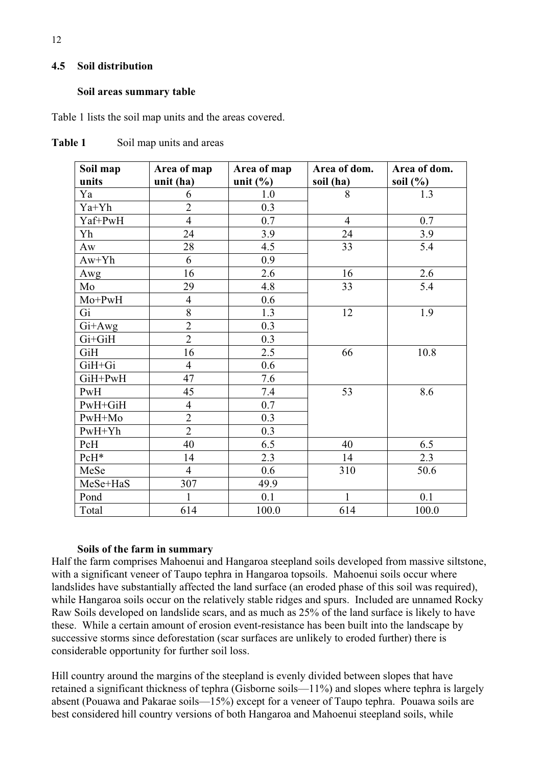### **4.5 Soil distribution**

#### **Soil areas summary table**

Table 1 lists the soil map units and the areas covered.

| Soil map | Area of map    | Area of map                     | Area of dom.   | Area of dom. |
|----------|----------------|---------------------------------|----------------|--------------|
| units    | unit (ha)      | unit $\left(\frac{0}{0}\right)$ | soil (ha)      | soil $(\% )$ |
| Ya       | 6              | 1.0                             | 8              | 1.3          |
| Ya+Yh    | $\overline{2}$ | 0.3                             |                |              |
| Yaf+PwH  | $\overline{4}$ | 0.7                             | $\overline{4}$ | 0.7          |
| Yh       | 24             | 3.9                             | 24             | 3.9          |
| Aw       | 28             | 4.5                             | 33             | 5.4          |
| $Aw+Yh$  | 6              | 0.9                             |                |              |
| Awg      | 16             | 2.6                             | 16             | 2.6          |
| Mo       | 29             | 4.8                             | 33             | 5.4          |
| Mo+PwH   | $\overline{4}$ | 0.6                             |                |              |
| Gi       | 8              | 1.3                             | 12             | 1.9          |
| Gi+Awg   | $\overline{2}$ | 0.3                             |                |              |
| Gi+GiH   | $\overline{2}$ | 0.3                             |                |              |
| GiH      | 16             | 2.5                             | 66             | 10.8         |
| GiH+Gi   | $\overline{4}$ | 0.6                             |                |              |
| GiH+PwH  | 47             | 7.6                             |                |              |
| PwH      | 45             | 7.4                             | 53             | 8.6          |
| PwH+GiH  | $\overline{4}$ | 0.7                             |                |              |
| PwH+Mo   | $\overline{2}$ | 0.3                             |                |              |
| $PwH+Yh$ | $\overline{2}$ | 0.3                             |                |              |
| PcH      | 40             | 6.5                             | 40             | 6.5          |
| PcH*     | 14             | 2.3                             | 14             | 2.3          |
| MeSe     | $\overline{4}$ | 0.6                             | 310            | 50.6         |
| MeSe+HaS | 307            | 49.9                            |                |              |
| Pond     | $\mathbf{1}$   | 0.1                             | $\mathbf{1}$   | 0.1          |
| Total    | 614            | 100.0                           | 614            | 100.0        |

Table 1 Soil map units and areas

### **Soils of the farm in summary**

Half the farm comprises Mahoenui and Hangaroa steepland soils developed from massive siltstone, with a significant veneer of Taupo tephra in Hangaroa topsoils. Mahoenui soils occur where landslides have substantially affected the land surface (an eroded phase of this soil was required), while Hangaroa soils occur on the relatively stable ridges and spurs. Included are unnamed Rocky Raw Soils developed on landslide scars, and as much as 25% of the land surface is likely to have these. While a certain amount of erosion event-resistance has been built into the landscape by successive storms since deforestation (scar surfaces are unlikely to eroded further) there is considerable opportunity for further soil loss.

Hill country around the margins of the steepland is evenly divided between slopes that have retained a significant thickness of tephra (Gisborne soils—11%) and slopes where tephra is largely absent (Pouawa and Pakarae soils—15%) except for a veneer of Taupo tephra. Pouawa soils are best considered hill country versions of both Hangaroa and Mahoenui steepland soils, while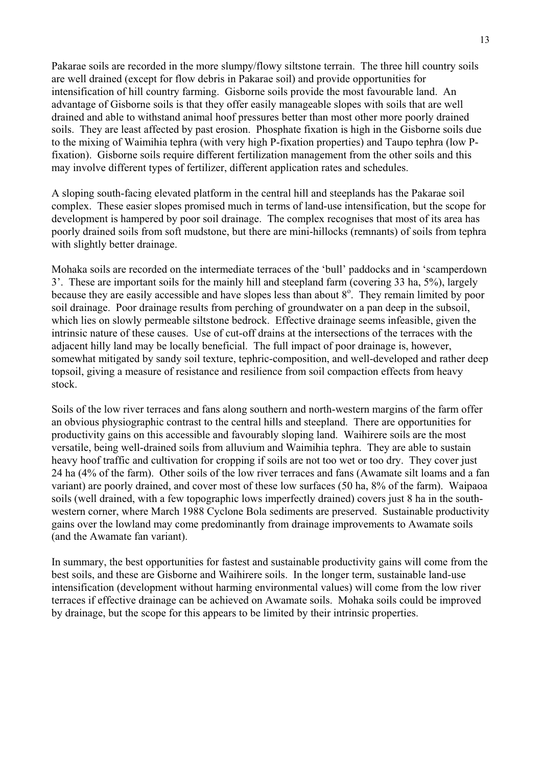Pakarae soils are recorded in the more slumpy/flowy siltstone terrain. The three hill country soils are well drained (except for flow debris in Pakarae soil) and provide opportunities for intensification of hill country farming. Gisborne soils provide the most favourable land. An advantage of Gisborne soils is that they offer easily manageable slopes with soils that are well drained and able to withstand animal hoof pressures better than most other more poorly drained soils. They are least affected by past erosion. Phosphate fixation is high in the Gisborne soils due to the mixing of Waimihia tephra (with very high P-fixation properties) and Taupo tephra (low Pfixation). Gisborne soils require different fertilization management from the other soils and this may involve different types of fertilizer, different application rates and schedules.

A sloping south-facing elevated platform in the central hill and steeplands has the Pakarae soil complex. These easier slopes promised much in terms of land-use intensification, but the scope for development is hampered by poor soil drainage. The complex recognises that most of its area has poorly drained soils from soft mudstone, but there are mini-hillocks (remnants) of soils from tephra with slightly better drainage.

Mohaka soils are recorded on the intermediate terraces of the 'bull' paddocks and in 'scamperdown 3'. These are important soils for the mainly hill and steepland farm (covering 33 ha, 5%), largely because they are easily accessible and have slopes less than about 8°. They remain limited by poor soil drainage. Poor drainage results from perching of groundwater on a pan deep in the subsoil, which lies on slowly permeable siltstone bedrock. Effective drainage seems infeasible, given the intrinsic nature of these causes. Use of cut-off drains at the intersections of the terraces with the adjacent hilly land may be locally beneficial. The full impact of poor drainage is, however, somewhat mitigated by sandy soil texture, tephric-composition, and well-developed and rather deep topsoil, giving a measure of resistance and resilience from soil compaction effects from heavy stock.

Soils of the low river terraces and fans along southern and north-western margins of the farm offer an obvious physiographic contrast to the central hills and steepland. There are opportunities for productivity gains on this accessible and favourably sloping land. Waihirere soils are the most versatile, being well-drained soils from alluvium and Waimihia tephra. They are able to sustain heavy hoof traffic and cultivation for cropping if soils are not too wet or too dry. They cover just 24 ha (4% of the farm). Other soils of the low river terraces and fans (Awamate silt loams and a fan variant) are poorly drained, and cover most of these low surfaces (50 ha, 8% of the farm). Waipaoa soils (well drained, with a few topographic lows imperfectly drained) covers just 8 ha in the southwestern corner, where March 1988 Cyclone Bola sediments are preserved. Sustainable productivity gains over the lowland may come predominantly from drainage improvements to Awamate soils (and the Awamate fan variant).

In summary, the best opportunities for fastest and sustainable productivity gains will come from the best soils, and these are Gisborne and Waihirere soils. In the longer term, sustainable land-use intensification (development without harming environmental values) will come from the low river terraces if effective drainage can be achieved on Awamate soils. Mohaka soils could be improved by drainage, but the scope for this appears to be limited by their intrinsic properties.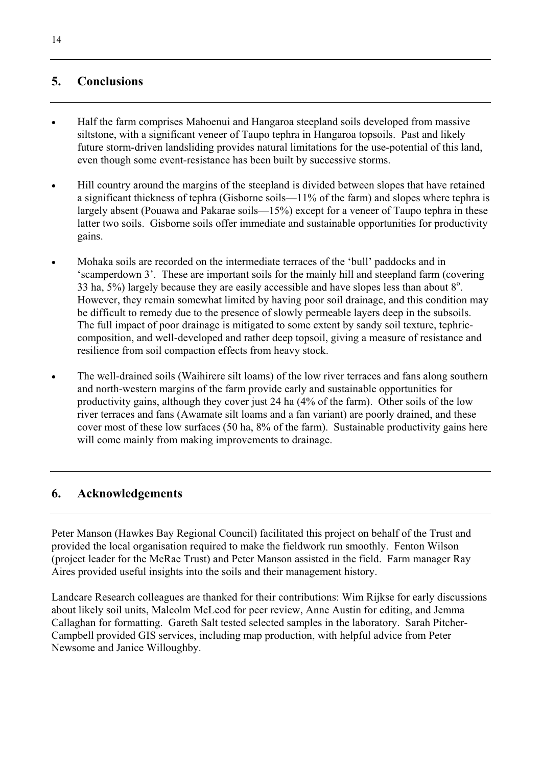# **5. Conclusions**

- x Half the farm comprises Mahoenui and Hangaroa steepland soils developed from massive siltstone, with a significant veneer of Taupo tephra in Hangaroa topsoils. Past and likely future storm-driven landsliding provides natural limitations for the use-potential of this land, even though some event-resistance has been built by successive storms.
- Hill country around the margins of the steepland is divided between slopes that have retained a significant thickness of tephra (Gisborne soils—11% of the farm) and slopes where tephra is largely absent (Pouawa and Pakarae soils—15%) except for a veneer of Taupo tephra in these latter two soils. Gisborne soils offer immediate and sustainable opportunities for productivity gains.
- Mohaka soils are recorded on the intermediate terraces of the 'bull' paddocks and in 'scamperdown 3'. These are important soils for the mainly hill and steepland farm (covering 33 ha,  $5\%$ ) largely because they are easily accessible and have slopes less than about  $8^\circ$ . However, they remain somewhat limited by having poor soil drainage, and this condition may be difficult to remedy due to the presence of slowly permeable layers deep in the subsoils. The full impact of poor drainage is mitigated to some extent by sandy soil texture, tephriccomposition, and well-developed and rather deep topsoil, giving a measure of resistance and resilience from soil compaction effects from heavy stock.
- The well-drained soils (Waihirere silt loams) of the low river terraces and fans along southern and north-western margins of the farm provide early and sustainable opportunities for productivity gains, although they cover just 24 ha (4% of the farm). Other soils of the low river terraces and fans (Awamate silt loams and a fan variant) are poorly drained, and these cover most of these low surfaces (50 ha, 8% of the farm). Sustainable productivity gains here will come mainly from making improvements to drainage.

### **6. Acknowledgements**

Peter Manson (Hawkes Bay Regional Council) facilitated this project on behalf of the Trust and provided the local organisation required to make the fieldwork run smoothly. Fenton Wilson (project leader for the McRae Trust) and Peter Manson assisted in the field. Farm manager Ray Aires provided useful insights into the soils and their management history.

Landcare Research colleagues are thanked for their contributions: Wim Rijkse for early discussions about likely soil units, Malcolm McLeod for peer review, Anne Austin for editing, and Jemma Callaghan for formatting. Gareth Salt tested selected samples in the laboratory. Sarah Pitcher-Campbell provided GIS services, including map production, with helpful advice from Peter Newsome and Janice Willoughby.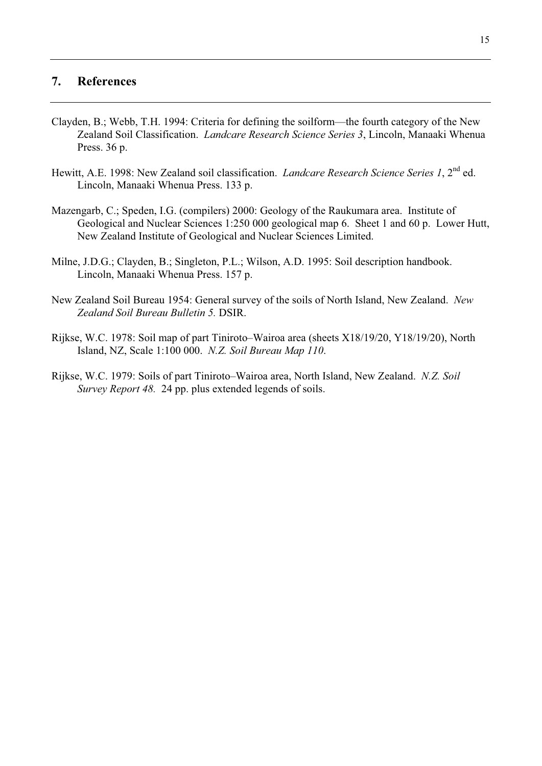### **7. References**

- Clayden, B.; Webb, T.H. 1994: Criteria for defining the soilform—the fourth category of the New Zealand Soil Classification. *Landcare Research Science Series 3*, Lincoln, Manaaki Whenua Press. 36 p.
- Hewitt, A.E. 1998: New Zealand soil classification. *Landcare Research Science Series 1*, 2nd ed. Lincoln, Manaaki Whenua Press. 133 p.
- Mazengarb, C.; Speden, I.G. (compilers) 2000: Geology of the Raukumara area. Institute of Geological and Nuclear Sciences 1:250 000 geological map 6. Sheet 1 and 60 p. Lower Hutt, New Zealand Institute of Geological and Nuclear Sciences Limited.
- Milne, J.D.G.; Clayden, B.; Singleton, P.L.; Wilson, A.D. 1995: Soil description handbook. Lincoln, Manaaki Whenua Press. 157 p.
- New Zealand Soil Bureau 1954: General survey of the soils of North Island, New Zealand. *New Zealand Soil Bureau Bulletin 5.* DSIR.
- Rijkse, W.C. 1978: Soil map of part Tiniroto–Wairoa area (sheets X18/19/20, Y18/19/20), North Island, NZ, Scale 1:100 000. *N.Z. Soil Bureau Map 110*.
- Rijkse, W.C. 1979: Soils of part Tiniroto–Wairoa area, North Island, New Zealand. *N.Z. Soil Survey Report 48.* 24 pp. plus extended legends of soils.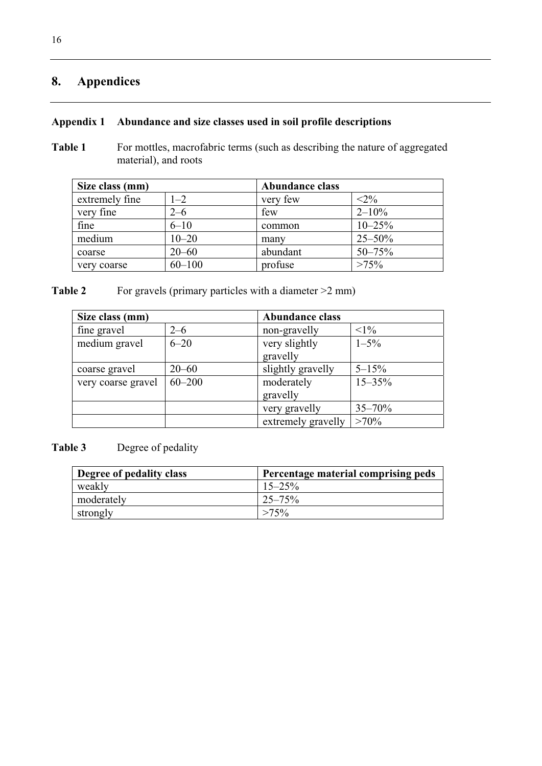# **8. Appendices**

## **Appendix 1 Abundance and size classes used in soil profile descriptions**

**Table 1** For mottles, macrofabric terms (such as describing the nature of aggregated material), and roots

| Size class (mm) |            | <b>Abundance class</b> |             |
|-----------------|------------|------------------------|-------------|
| extremely fine  | $1 - 2$    | very few               | $<2\%$      |
| very fine       | $2 - 6$    | few                    | $2 - 10\%$  |
| fine            | $6 - 10$   | common                 | $10 - 25%$  |
| medium          | $10 - 20$  | many                   | $25 - 50\%$ |
| coarse          | $20 - 60$  | abundant               | $50 - 75%$  |
| very coarse     | $60 - 100$ | profuse                | $>75\%$     |

**Table 2** For gravels (primary particles with a diameter  $>2$  mm)

| Size class (mm)    |            | <b>Abundance class</b> |            |
|--------------------|------------|------------------------|------------|
| fine gravel        | $2 - 6$    | non-gravelly           | $<1\%$     |
| medium gravel      | $6 - 20$   | very slightly          | $1 - 5\%$  |
|                    |            | gravelly               |            |
| coarse gravel      | $20 - 60$  | slightly gravelly      | $5 - 15\%$ |
| very coarse gravel | $60 - 200$ | moderately             | $15 - 35%$ |
|                    |            | gravelly               |            |
|                    |            | very gravelly          | $35 - 70%$ |
|                    |            | extremely gravelly     | $>70\%$    |

# **Table 3** Degree of pedality

| Degree of pedality class | Percentage material comprising peds |
|--------------------------|-------------------------------------|
| weakly                   | $15 - 25\%$                         |
| moderately               | $25 - 75\%$                         |
| strongly                 | $>75\%$                             |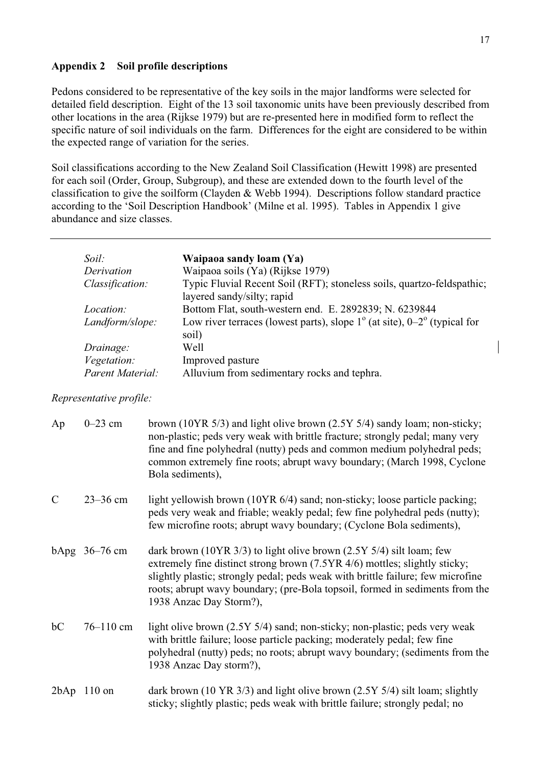### **Appendix 2 Soil profile descriptions**

Pedons considered to be representative of the key soils in the major landforms were selected for detailed field description. Eight of the 13 soil taxonomic units have been previously described from other locations in the area (Rijkse 1979) but are re-presented here in modified form to reflect the specific nature of soil individuals on the farm. Differences for the eight are considered to be within the expected range of variation for the series.

Soil classifications according to the New Zealand Soil Classification (Hewitt 1998) are presented for each soil (Order, Group, Subgroup), and these are extended down to the fourth level of the classification to give the soilform (Clayden & Webb 1994). Descriptions follow standard practice according to the 'Soil Description Handbook' (Milne et al. 1995). Tables in Appendix 1 give abundance and size classes.

| Soil:            | Waipaoa sandy loam (Ya)                                                                             |
|------------------|-----------------------------------------------------------------------------------------------------|
| Derivation       | Waipaoa soils (Ya) (Rijkse 1979)                                                                    |
| Classification:  | Typic Fluvial Recent Soil (RFT); stoneless soils, quartzo-feldspathic;                              |
|                  | layered sandy/silty; rapid                                                                          |
| <i>Location:</i> | Bottom Flat, south-western end. E. 2892839; N. 6239844                                              |
| Landform/slope:  | Low river terraces (lowest parts), slope $1^{\circ}$ (at site), $0-2^{\circ}$ (typical for<br>soil) |
| Drainage:        | Well                                                                                                |
| Vegetation:      | Improved pasture                                                                                    |
| Parent Material: | Alluvium from sedimentary rocks and tephra.                                                         |

#### *Representative profile:*

| Ap            | $0-23$ cm        | brown (10YR 5/3) and light olive brown (2.5Y 5/4) sandy loam; non-sticky;<br>non-plastic; peds very weak with brittle fracture; strongly pedal; many very<br>fine and fine polyhedral (nutty) peds and common medium polyhedral peds;<br>common extremely fine roots; abrupt wavy boundary; (March 1998, Cyclone<br>Bola sediments),                   |
|---------------|------------------|--------------------------------------------------------------------------------------------------------------------------------------------------------------------------------------------------------------------------------------------------------------------------------------------------------------------------------------------------------|
| $\mathcal{C}$ | $23 - 36$ cm     | light yellowish brown (10YR 6/4) sand; non-sticky; loose particle packing;<br>peds very weak and friable; weakly pedal; few fine polyhedral peds (nutty);<br>few microfine roots; abrupt wavy boundary; (Cyclone Bola sediments),                                                                                                                      |
|               | $b$ Apg 36–76 cm | dark brown (10YR $3/3$ ) to light olive brown (2.5Y $5/4$ ) silt loam; few<br>extremely fine distinct strong brown (7.5YR 4/6) mottles; slightly sticky;<br>slightly plastic; strongly pedal; peds weak with brittle failure; few microfine<br>roots; abrupt wavy boundary; (pre-Bola topsoil, formed in sediments from the<br>1938 Anzac Day Storm?), |
| bc            | $76 - 110$ cm    | light olive brown (2.5Y 5/4) sand; non-sticky; non-plastic; peds very weak<br>with brittle failure; loose particle packing; moderately pedal; few fine<br>polyhedral (nutty) peds; no roots; abrupt wavy boundary; (sediments from the<br>1938 Anzac Day storm?),                                                                                      |
| 2bAp          | $110$ on         | dark brown (10 YR $3/3$ ) and light olive brown (2.5Y $5/4$ ) silt loam; slightly<br>sticky; slightly plastic; peds weak with brittle failure; strongly pedal; no                                                                                                                                                                                      |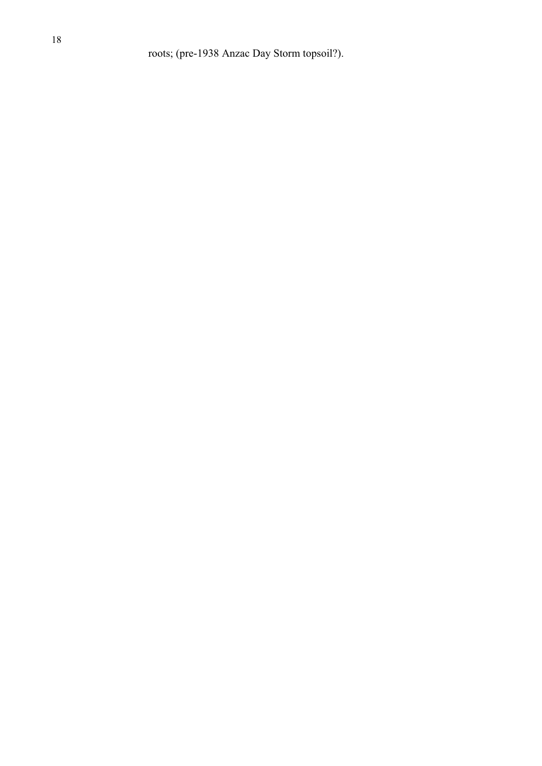roots; (pre-1938 Anzac Day Storm topsoil?).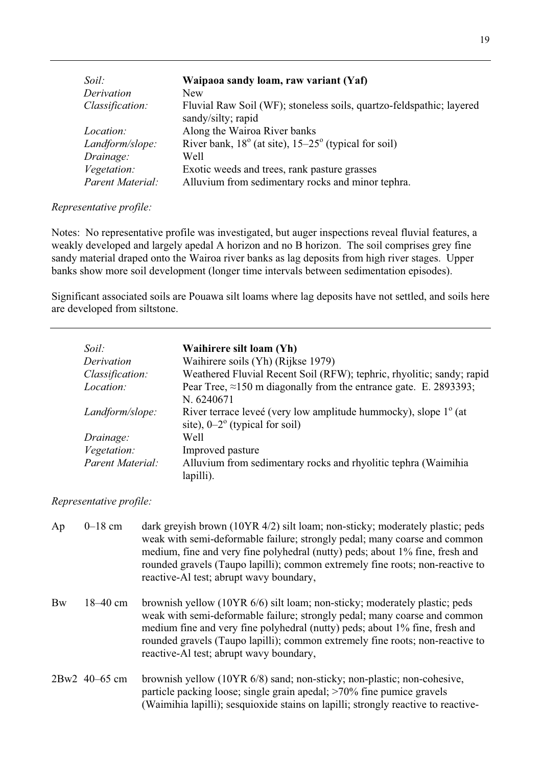| Soil:            | Waipaoa sandy loam, raw variant (Yaf)                                                      |
|------------------|--------------------------------------------------------------------------------------------|
| Derivation       | New.                                                                                       |
| Classification:  | Fluvial Raw Soil (WF); stoneless soils, quartzo-feldspathic; layered<br>sandy/silty; rapid |
| <i>Location:</i> | Along the Wairoa River banks                                                               |
| Landform/slope:  | River bank, $18^{\circ}$ (at site), $15-25^{\circ}$ (typical for soil)                     |
| Drainage:        | Well                                                                                       |
| Vegetation:      | Exotic weeds and trees, rank pasture grasses                                               |
| Parent Material: | Alluvium from sedimentary rocks and minor tephra.                                          |

### *Representative profile:*

Notes: No representative profile was investigated, but auger inspections reveal fluvial features, a weakly developed and largely apedal A horizon and no B horizon. The soil comprises grey fine sandy material draped onto the Wairoa river banks as lag deposits from high river stages. Upper banks show more soil development (longer time intervals between sedimentation episodes).

Significant associated soils are Pouawa silt loams where lag deposits have not settled, and soils here are developed from siltstone.

| Soil:            | Waihirere silt loam (Yh)                                                                                               |
|------------------|------------------------------------------------------------------------------------------------------------------------|
| Derivation       | Waihirere soils (Yh) (Rijkse 1979)                                                                                     |
| Classification:  | Weathered Fluvial Recent Soil (RFW); tephric, rhyolitic; sandy; rapid                                                  |
| Location:        | Pear Tree, $\approx$ 150 m diagonally from the entrance gate. E. 2893393;<br>N. 6240671                                |
| Landform/slope:  | River terrace leveé (very low amplitude hummocky), slope 1 <sup>°</sup> (at<br>site), $0-2^{\circ}$ (typical for soil) |
| Drainage:        | Well                                                                                                                   |
| Vegetation:      | Improved pasture                                                                                                       |
| Parent Material: | Alluvium from sedimentary rocks and rhyolitic tephra (Waimihia<br>lapilli).                                            |

#### *Representative profile:*

| Ap        | $0-18$ cm     | dark greyish brown $(10YR 4/2)$ silt loam; non-sticky; moderately plastic; peds<br>weak with semi-deformable failure; strongly pedal; many coarse and common<br>medium, fine and very fine polyhedral (nutty) peds; about 1% fine, fresh and<br>rounded gravels (Taupo lapilli); common extremely fine roots; non-reactive to<br>reactive-Al test; abrupt wavy boundary, |
|-----------|---------------|--------------------------------------------------------------------------------------------------------------------------------------------------------------------------------------------------------------------------------------------------------------------------------------------------------------------------------------------------------------------------|
| <b>Bw</b> | $18 - 40$ cm  | brownish yellow (10YR 6/6) silt loam; non-sticky; moderately plastic; peds<br>weak with semi-deformable failure; strongly pedal; many coarse and common<br>medium fine and very fine polyhedral (nutty) peds; about 1% fine, fresh and<br>rounded gravels (Taupo lapilli); common extremely fine roots; non-reactive to<br>reactive-Al test; abrupt wavy boundary,       |
|           | 2Bw2 40-65 cm | brownish yellow (10YR 6/8) sand; non-sticky; non-plastic; non-cohesive,<br>particle packing loose; single grain apedal; >70% fine pumice gravels<br>(Waimihia lapilli); sesquioxide stains on lapilli; strongly reactive to reactive-                                                                                                                                    |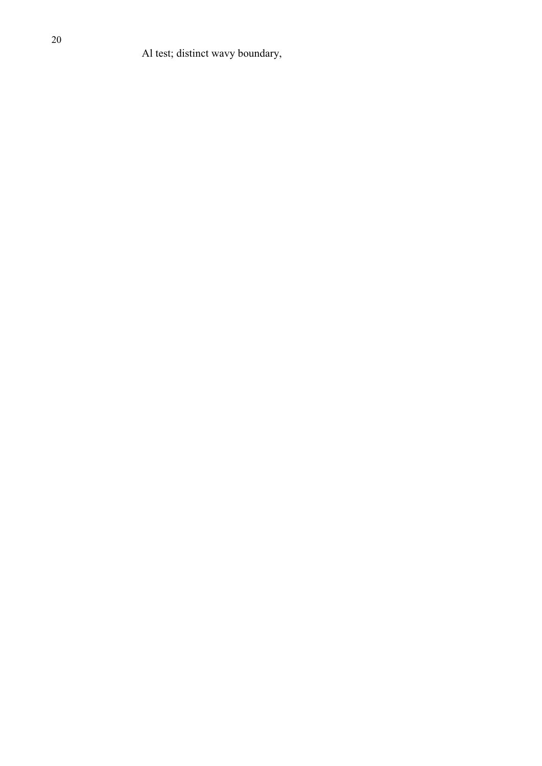Al test; distinct wavy boundary,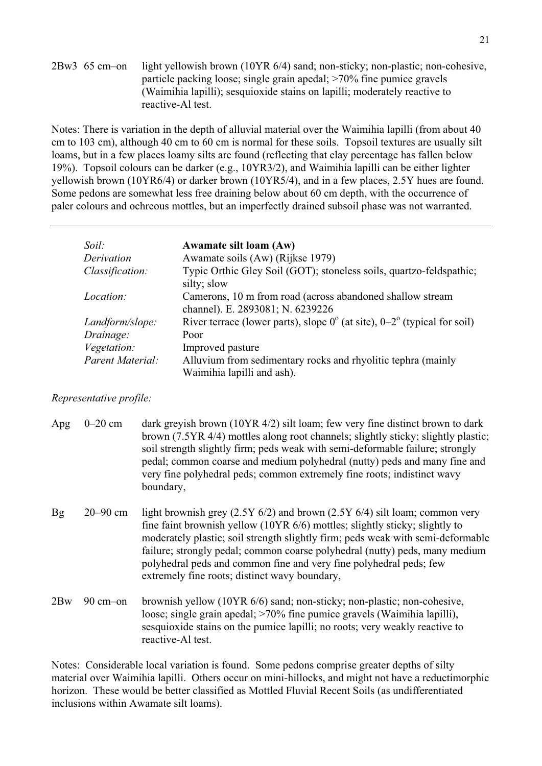2Bw3 65 cm–on light yellowish brown (10YR 6/4) sand; non-sticky; non-plastic; non-cohesive, particle packing loose; single grain apedal; >70% fine pumice gravels (Waimihia lapilli); sesquioxide stains on lapilli; moderately reactive to reactive-Al test.

Notes: There is variation in the depth of alluvial material over the Waimihia lapilli (from about 40 cm to 103 cm), although 40 cm to 60 cm is normal for these soils. Topsoil textures are usually silt loams, but in a few places loamy silts are found (reflecting that clay percentage has fallen below 19%). Topsoil colours can be darker (e.g., 10YR3/2), and Waimihia lapilli can be either lighter yellowish brown (10YR6/4) or darker brown (10YR5/4), and in a few places, 2.5Y hues are found. Some pedons are somewhat less free draining below about 60 cm depth, with the occurrence of paler colours and ochreous mottles, but an imperfectly drained subsoil phase was not warranted.

| Soil:              | <b>Awamate silt loam (Aw)</b>                                                                 |
|--------------------|-----------------------------------------------------------------------------------------------|
| Derivation         | Awamate soils (Aw) (Rijkse 1979)                                                              |
| Classification:    | Typic Orthic Gley Soil (GOT); stoneless soils, quartzo-feldspathic;<br>silty; slow            |
| <i>Location:</i>   | Camerons, 10 m from road (across abandoned shallow stream<br>channel). E. 2893081; N. 6239226 |
| Landform/slope:    | River terrace (lower parts), slope $0^{\circ}$ (at site), $0-2^{\circ}$ (typical for soil)    |
| Drainage:          | Poor                                                                                          |
| <i>Vegetation:</i> | Improved pasture                                                                              |
| Parent Material:   | Alluvium from sedimentary rocks and rhyolitic tephra (mainly                                  |
|                    | Waimihia lapilli and ash).                                                                    |

### *Representative profile:*

| Apg       | $0-20$ cm           | dark greyish brown (10YR 4/2) silt loam; few very fine distinct brown to dark<br>brown (7.5YR 4/4) mottles along root channels; slightly sticky; slightly plastic;<br>soil strength slightly firm; peds weak with semi-deformable failure; strongly<br>pedal; common coarse and medium polyhedral (nutty) peds and many fine and<br>very fine polyhedral peds; common extremely fine roots; indistinct wavy<br>boundary,                               |
|-----------|---------------------|--------------------------------------------------------------------------------------------------------------------------------------------------------------------------------------------------------------------------------------------------------------------------------------------------------------------------------------------------------------------------------------------------------------------------------------------------------|
| <b>Bg</b> | $20 - 90$ cm        | light brownish grey $(2.5Y 6/2)$ and brown $(2.5Y 6/4)$ silt loam; common very<br>fine faint brownish yellow (10YR 6/6) mottles; slightly sticky; slightly to<br>moderately plastic; soil strength slightly firm; peds weak with semi-deformable<br>failure; strongly pedal; common coarse polyhedral (nutty) peds, many medium<br>polyhedral peds and common fine and very fine polyhedral peds; few<br>extremely fine roots; distinct wavy boundary, |
| 2Bw       | $90 \text{ cm}$ -on | brownish yellow (10YR 6/6) sand; non-sticky; non-plastic; non-cohesive,<br>loose; single grain apedal; >70% fine pumice gravels (Waimihia lapilli),<br>sesquioxide stains on the pumice lapilli; no roots; very weakly reactive to<br>reactive-Al test.                                                                                                                                                                                                |

Notes: Considerable local variation is found. Some pedons comprise greater depths of silty material over Waimihia lapilli. Others occur on mini-hillocks, and might not have a reductimorphic horizon. These would be better classified as Mottled Fluvial Recent Soils (as undifferentiated inclusions within Awamate silt loams).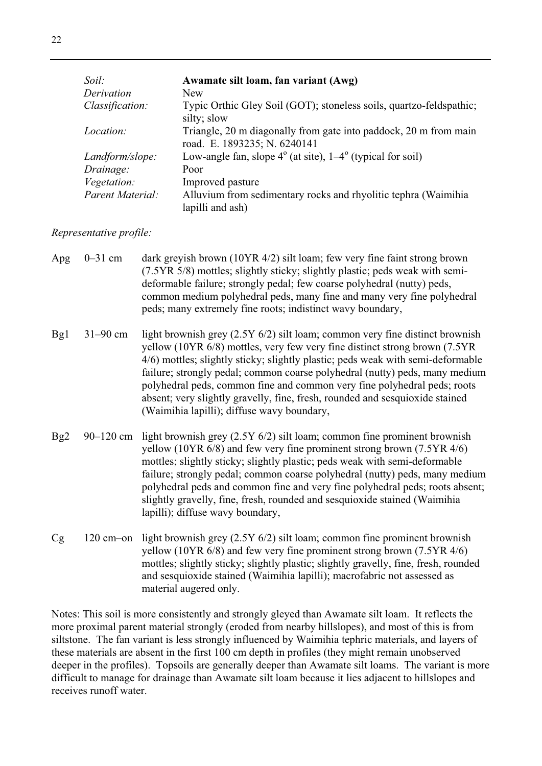| Soil: |                  | Awamate silt loam, fan variant (Awg)                                                             |
|-------|------------------|--------------------------------------------------------------------------------------------------|
|       | Derivation       | <b>New</b>                                                                                       |
|       | Classification:  | Typic Orthic Gley Soil (GOT); stoneless soils, quartzo-feldspathic;<br>silty; slow               |
|       | Location:        | Triangle, 20 m diagonally from gate into paddock, 20 m from main<br>road. E. 1893235; N. 6240141 |
|       | Landform/slope:  | Low-angle fan, slope $4^{\circ}$ (at site), $1-4^{\circ}$ (typical for soil)                     |
|       | Drainage:        | Poor                                                                                             |
|       | Vegetation:      | Improved pasture                                                                                 |
|       | Parent Material: | Alluvium from sedimentary rocks and rhyolitic tephra (Waimihia<br>lapilli and ash)               |

*Representative profile:*

- Apg 0–31 cm dark greyish brown (10YR 4/2) silt loam; few very fine faint strong brown (7.5YR 5/8) mottles; slightly sticky; slightly plastic; peds weak with semideformable failure; strongly pedal; few coarse polyhedral (nutty) peds, common medium polyhedral peds, many fine and many very fine polyhedral peds; many extremely fine roots; indistinct wavy boundary,
- Bg1 31–90 cm light brownish grey (2.5Y 6/2) silt loam; common very fine distinct brownish yellow (10YR 6/8) mottles, very few very fine distinct strong brown (7.5YR 4/6) mottles; slightly sticky; slightly plastic; peds weak with semi-deformable failure; strongly pedal; common coarse polyhedral (nutty) peds, many medium polyhedral peds, common fine and common very fine polyhedral peds; roots absent; very slightly gravelly, fine, fresh, rounded and sesquioxide stained (Waimihia lapilli); diffuse wavy boundary,
- Bg2 90–120 cm light brownish grey (2.5Y 6/2) silt loam; common fine prominent brownish yellow (10YR 6/8) and few very fine prominent strong brown (7.5YR 4/6) mottles; slightly sticky; slightly plastic; peds weak with semi-deformable failure; strongly pedal; common coarse polyhedral (nutty) peds, many medium polyhedral peds and common fine and very fine polyhedral peds; roots absent; slightly gravelly, fine, fresh, rounded and sesquioxide stained (Waimihia lapilli); diffuse wavy boundary,
- Cg 120 cm–on light brownish grey (2.5Y 6/2) silt loam; common fine prominent brownish yellow (10YR 6/8) and few very fine prominent strong brown (7.5YR 4/6) mottles; slightly sticky; slightly plastic; slightly gravelly, fine, fresh, rounded and sesquioxide stained (Waimihia lapilli); macrofabric not assessed as material augered only.

Notes: This soil is more consistently and strongly gleyed than Awamate silt loam. It reflects the more proximal parent material strongly (eroded from nearby hillslopes), and most of this is from siltstone. The fan variant is less strongly influenced by Waimihia tephric materials, and layers of these materials are absent in the first 100 cm depth in profiles (they might remain unobserved deeper in the profiles). Topsoils are generally deeper than Awamate silt loams. The variant is more difficult to manage for drainage than Awamate silt loam because it lies adjacent to hillslopes and receives runoff water.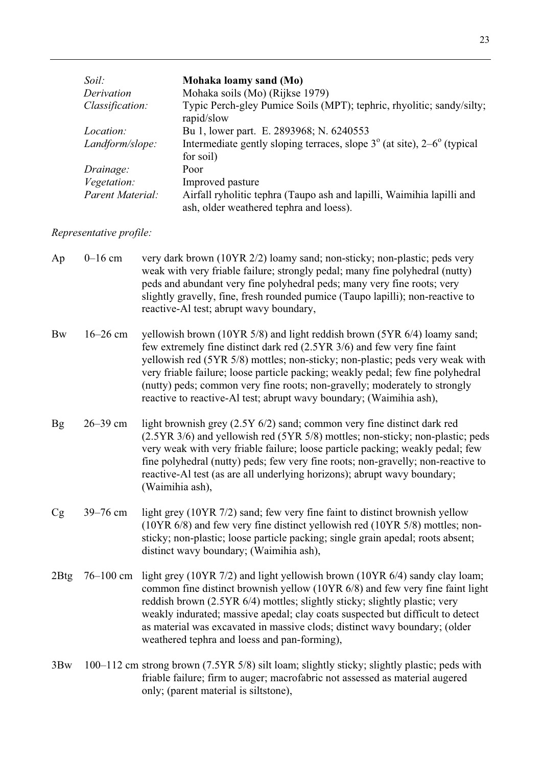| Soil:              | Mohaka loamy sand (Mo)                                                                                           |
|--------------------|------------------------------------------------------------------------------------------------------------------|
| Derivation         | Mohaka soils (Mo) (Rijkse 1979)                                                                                  |
| Classification:    | Typic Perch-gley Pumice Soils (MPT); tephric, rhyolitic; sandy/silty;<br>rapid/slow                              |
| <i>Location:</i>   | Bu 1, lower part. E. 2893968; N. 6240553                                                                         |
| Landform/slope:    | Intermediate gently sloping terraces, slope $3^\circ$ (at site), $2-6^\circ$ (typical<br>for soil)               |
| Drainage:          | Poor                                                                                                             |
| <i>Vegetation:</i> | Improved pasture                                                                                                 |
| Parent Material:   | Airfall ryholitic tephra (Taupo ash and lapilli, Waimihia lapilli and<br>ash, older weathered tephra and loess). |

## *Representative profile:*

| Ap        | $0-16$ cm     | very dark brown (10YR 2/2) loamy sand; non-sticky; non-plastic; peds very<br>weak with very friable failure; strongly pedal; many fine polyhedral (nutty)<br>peds and abundant very fine polyhedral peds; many very fine roots; very<br>slightly gravelly, fine, fresh rounded pumice (Taupo lapilli); non-reactive to<br>reactive-Al test; abrupt wavy boundary,                                                                                                             |
|-----------|---------------|-------------------------------------------------------------------------------------------------------------------------------------------------------------------------------------------------------------------------------------------------------------------------------------------------------------------------------------------------------------------------------------------------------------------------------------------------------------------------------|
| <b>Bw</b> | $16 - 26$ cm  | yellowish brown (10YR 5/8) and light reddish brown (5YR 6/4) loamy sand;<br>few extremely fine distinct dark red (2.5YR 3/6) and few very fine faint<br>yellowish red (5YR 5/8) mottles; non-sticky; non-plastic; peds very weak with<br>very friable failure; loose particle packing; weakly pedal; few fine polyhedral<br>(nutty) peds; common very fine roots; non-gravelly; moderately to strongly<br>reactive to reactive-Al test; abrupt wavy boundary; (Waimihia ash), |
| <b>Bg</b> | 26-39 cm      | light brownish grey (2.5Y 6/2) sand; common very fine distinct dark red<br>(2.5YR 3/6) and yellowish red (5YR 5/8) mottles; non-sticky; non-plastic; peds<br>very weak with very friable failure; loose particle packing; weakly pedal; few<br>fine polyhedral (nutty) peds; few very fine roots; non-gravelly; non-reactive to<br>reactive-Al test (as are all underlying horizons); abrupt wavy boundary;<br>(Waimihia ash),                                                |
| Cg        | 39-76 cm      | light grey (10YR 7/2) sand; few very fine faint to distinct brownish yellow<br>(10YR 6/8) and few very fine distinct yellowish red (10YR 5/8) mottles; non-<br>sticky; non-plastic; loose particle packing; single grain apedal; roots absent;<br>distinct wavy boundary; (Waimihia ash),                                                                                                                                                                                     |
| 2Btg      | $76 - 100$ cm | light grey (10YR 7/2) and light yellowish brown (10YR 6/4) sandy clay loam;<br>common fine distinct brownish yellow (10YR 6/8) and few very fine faint light<br>reddish brown (2.5YR 6/4) mottles; slightly sticky; slightly plastic; very<br>weakly indurated; massive apedal; clay coats suspected but difficult to detect<br>as material was excavated in massive clods; distinct wavy boundary; (older<br>weathered tephra and loess and pan-forming),                    |
| 3Bw       |               | 100–112 cm strong brown (7.5YR 5/8) silt loam; slightly sticky; slightly plastic; peds with<br>friable failure; firm to auger; macrofabric not assessed as material augered<br>only; (parent material is siltstone),                                                                                                                                                                                                                                                          |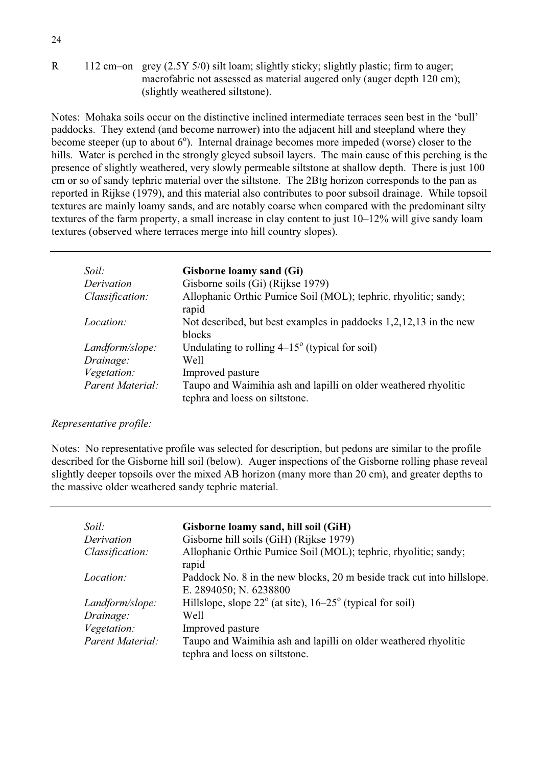R 112 cm–on grey (2.5Y 5/0) silt loam; slightly sticky; slightly plastic; firm to auger; macrofabric not assessed as material augered only (auger depth 120 cm); (slightly weathered siltstone).

Notes: Mohaka soils occur on the distinctive inclined intermediate terraces seen best in the 'bull' paddocks. They extend (and become narrower) into the adjacent hill and steepland where they become steeper (up to about  $6^{\circ}$ ). Internal drainage becomes more impeded (worse) closer to the hills. Water is perched in the strongly gleyed subsoil layers. The main cause of this perching is the presence of slightly weathered, very slowly permeable siltstone at shallow depth. There is just 100 cm or so of sandy tephric material over the siltstone. The 2Btg horizon corresponds to the pan as reported in Rijkse (1979), and this material also contributes to poor subsoil drainage. While topsoil textures are mainly loamy sands, and are notably coarse when compared with the predominant silty textures of the farm property, a small increase in clay content to just 10–12% will give sandy loam textures (observed where terraces merge into hill country slopes).

| Soil:            | Gisborne loamy sand (Gi)                                                                          |
|------------------|---------------------------------------------------------------------------------------------------|
| Derivation       | Gisborne soils (Gi) (Rijkse 1979)                                                                 |
| Classification:  | Allophanic Orthic Pumice Soil (MOL); tephric, rhyolitic; sandy;<br>rapid                          |
| Location:        | Not described, but best examples in paddocks 1,2,12,13 in the new<br>blocks                       |
| Landform/slope:  | Undulating to rolling $4-15^{\circ}$ (typical for soil)                                           |
| Drainage:        | Well                                                                                              |
| Vegetation:      | Improved pasture                                                                                  |
| Parent Material: | Taupo and Waimihia ash and lapilli on older weathered rhyolitic<br>tephra and loess on siltstone. |

#### *Representative profile:*

Notes: No representative profile was selected for description, but pedons are similar to the profile described for the Gisborne hill soil (below). Auger inspections of the Gisborne rolling phase reveal slightly deeper topsoils over the mixed AB horizon (many more than 20 cm), and greater depths to the massive older weathered sandy tephric material.

| Soil:            | Gisborne loamy sand, hill soil (GiH)                                                              |
|------------------|---------------------------------------------------------------------------------------------------|
| Derivation       | Gisborne hill soils (GiH) (Rijkse 1979)                                                           |
| Classification:  | Allophanic Orthic Pumice Soil (MOL); tephric, rhyolitic; sandy;<br>rapid                          |
| Location:        | Paddock No. 8 in the new blocks, 20 m beside track cut into hillslope.<br>E. 2894050; N. 6238800  |
| Landform/slope:  | Hillslope, slope $22^{\circ}$ (at site), $16-25^{\circ}$ (typical for soil)                       |
| Drainage:        | Well                                                                                              |
| Vegetation:      | Improved pasture                                                                                  |
| Parent Material: | Taupo and Waimihia ash and lapilli on older weathered rhyolitic<br>tephra and loess on siltstone. |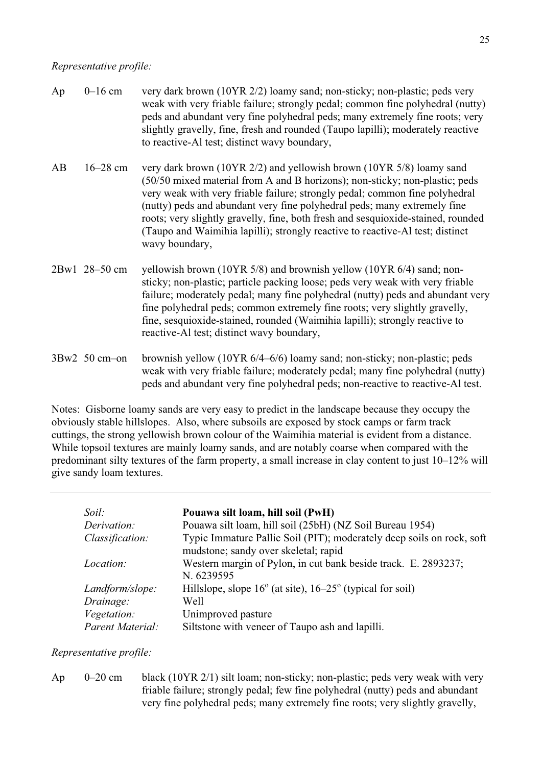#### *Representative profile:*

| Ap | $0-16$ cm       | very dark brown (10YR 2/2) loamy sand; non-sticky; non-plastic; peds very<br>weak with very friable failure; strongly pedal; common fine polyhedral (nutty)<br>peds and abundant very fine polyhedral peds; many extremely fine roots; very<br>slightly gravelly, fine, fresh and rounded (Taupo lapilli); moderately reactive<br>to reactive-Al test; distinct wavy boundary,                                                                                                                        |
|----|-----------------|-------------------------------------------------------------------------------------------------------------------------------------------------------------------------------------------------------------------------------------------------------------------------------------------------------------------------------------------------------------------------------------------------------------------------------------------------------------------------------------------------------|
| AB | $16 - 28$ cm    | very dark brown (10YR 2/2) and yellowish brown (10YR 5/8) loamy sand<br>(50/50 mixed material from A and B horizons); non-sticky; non-plastic; peds<br>very weak with very friable failure; strongly pedal; common fine polyhedral<br>(nutty) peds and abundant very fine polyhedral peds; many extremely fine<br>roots; very slightly gravelly, fine, both fresh and sesquioxide-stained, rounded<br>(Taupo and Waimihia lapilli); strongly reactive to reactive-Al test; distinct<br>wavy boundary, |
|    | 2Bw1 28-50 cm   | yellowish brown (10YR 5/8) and brownish yellow (10YR 6/4) sand; non-<br>sticky; non-plastic; particle packing loose; peds very weak with very friable<br>failure; moderately pedal; many fine polyhedral (nutty) peds and abundant very<br>fine polyhedral peds; common extremely fine roots; very slightly gravelly,<br>fine, sesquioxide-stained, rounded (Waimihia lapilli); strongly reactive to<br>reactive-Al test; distinct wavy boundary,                                                     |
|    | $3Bw2$ 50 cm-on | brownish yellow (10YR 6/4–6/6) loamy sand; non-sticky; non-plastic; peds<br>weak with very friable failure; moderately pedal; many fine polyhedral (nutty)<br>peds and abundant very fine polyhedral peds; non-reactive to reactive-Al test.                                                                                                                                                                                                                                                          |

Notes: Gisborne loamy sands are very easy to predict in the landscape because they occupy the obviously stable hillslopes. Also, where subsoils are exposed by stock camps or farm track cuttings, the strong yellowish brown colour of the Waimihia material is evident from a distance. While topsoil textures are mainly loamy sands, and are notably coarse when compared with the predominant silty textures of the farm property, a small increase in clay content to just 10–12% will give sandy loam textures.

| Soil:            | Pouawa silt loam, hill soil (PwH)                                           |
|------------------|-----------------------------------------------------------------------------|
| Derivation:      | Pouawa silt loam, hill soil (25bH) (NZ Soil Bureau 1954)                    |
| Classification:  | Typic Immature Pallic Soil (PIT); moderately deep soils on rock, soft       |
|                  | mudstone; sandy over skeletal; rapid                                        |
| <i>Location:</i> | Western margin of Pylon, in cut bank beside track. E. 2893237;              |
|                  | N. 6239595                                                                  |
| Landform/slope:  | Hillslope, slope $16^{\circ}$ (at site), $16-25^{\circ}$ (typical for soil) |
| Drainage:        | Well                                                                        |
| Vegetation:      | Unimproved pasture                                                          |
| Parent Material: | Siltstone with veneer of Taupo ash and lapilli.                             |

*Representative profile:*

Ap 0–20 cm black (10YR 2/1) silt loam; non-sticky; non-plastic; peds very weak with very friable failure; strongly pedal; few fine polyhedral (nutty) peds and abundant very fine polyhedral peds; many extremely fine roots; very slightly gravelly,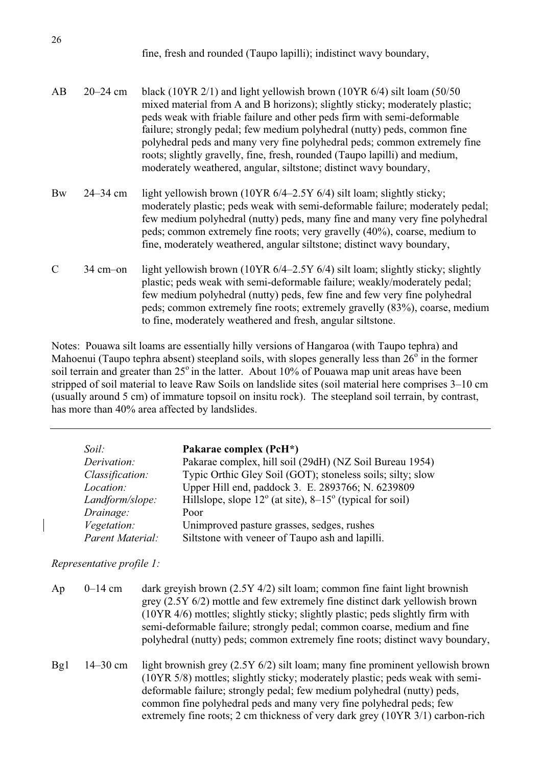| fine, fresh and rounded (Taupo lapilli); indistinct wavy boundary, |  |  |
|--------------------------------------------------------------------|--|--|
|--------------------------------------------------------------------|--|--|

| AB        | $20 - 24$ cm | black (10YR $2/1$ ) and light yellowish brown (10YR $6/4$ ) silt loam (50/50)<br>mixed material from A and B horizons); slightly sticky; moderately plastic;<br>peds weak with friable failure and other peds firm with semi-deformable<br>failure; strongly pedal; few medium polyhedral (nutty) peds, common fine<br>polyhedral peds and many very fine polyhedral peds; common extremely fine<br>roots; slightly gravelly, fine, fresh, rounded (Taupo lapilli) and medium,<br>moderately weathered, angular, siltstone; distinct wavy boundary, |
|-----------|--------------|-----------------------------------------------------------------------------------------------------------------------------------------------------------------------------------------------------------------------------------------------------------------------------------------------------------------------------------------------------------------------------------------------------------------------------------------------------------------------------------------------------------------------------------------------------|
| <b>Bw</b> | $24 - 34$ cm | light yellowish brown (10YR $6/4-2.5Y$ 6/4) silt loam; slightly sticky;<br>moderately plastic; peds weak with semi-deformable failure; moderately pedal                                                                                                                                                                                                                                                                                                                                                                                             |

- moderately plastic; peds weak with semi-deformable failure; moderately pedal; few medium polyhedral (nutty) peds, many fine and many very fine polyhedral peds; common extremely fine roots; very gravelly (40%), coarse, medium to fine, moderately weathered, angular siltstone; distinct wavy boundary,
- C 34 cm–on light yellowish brown (10YR 6/4–2.5Y 6/4) silt loam; slightly sticky; slightly plastic; peds weak with semi-deformable failure; weakly/moderately pedal; few medium polyhedral (nutty) peds, few fine and few very fine polyhedral peds; common extremely fine roots; extremely gravelly (83%), coarse, medium to fine, moderately weathered and fresh, angular siltstone.

Notes: Pouawa silt loams are essentially hilly versions of Hangaroa (with Taupo tephra) and Mahoenui (Taupo tephra absent) steepland soils, with slopes generally less than  $26^{\circ}$  in the former soil terrain and greater than  $25^\circ$  in the latter. About 10% of Pouawa map unit areas have been stripped of soil material to leave Raw Soils on landslide sites (soil material here comprises 3–10 cm (usually around 5 cm) of immature topsoil on insitu rock). The steepland soil terrain, by contrast, has more than 40% area affected by landslides.

| Soil:            | Pakarae complex (PcH*)                                                     |
|------------------|----------------------------------------------------------------------------|
| Derivation:      | Pakarae complex, hill soil (29dH) (NZ Soil Bureau 1954)                    |
| Classification:  | Typic Orthic Gley Soil (GOT); stoneless soils; silty; slow                 |
| Location:        | Upper Hill end, paddock 3. E. 2893766; N. 6239809                          |
| Landform/slope:  | Hillslope, slope $12^{\circ}$ (at site), $8-15^{\circ}$ (typical for soil) |
| Drainage:        | Poor                                                                       |
| Vegetation:      | Unimproved pasture grasses, sedges, rushes                                 |
| Parent Material: | Siltstone with veneer of Taupo ash and lapilli.                            |

*Representative profile 1:*

| Ap  | $0 - 14$ cm  | dark greyish brown $(2.5Y\,4/2)$ silt loam; common fine faint light brownish<br>grey $(2.5Y_0/2)$ mottle and few extremely fine distinct dark yellowish brown<br>(10YR 4/6) mottles; slightly sticky; slightly plastic; peds slightly firm with<br>semi-deformable failure; strongly pedal; common coarse, medium and fine<br>polyhedral (nutty) peds; common extremely fine roots; distinct wavy boundary, |
|-----|--------------|-------------------------------------------------------------------------------------------------------------------------------------------------------------------------------------------------------------------------------------------------------------------------------------------------------------------------------------------------------------------------------------------------------------|
| Bg1 | $14 - 30$ cm | light brownish grey $(2.5Y 6/2)$ silt loam; many fine prominent yellowish brown<br>(10YR 5/8) mottles; slightly sticky; moderately plastic; peds weak with semi-<br>deformable failure; strongly pedal; few medium polyhedral (nutty) peds,<br>common fine polyhedral peds and many very fine polyhedral peds; few<br>extremely fine roots; 2 cm thickness of very dark grey (10YR 3/1) carbon-rich         |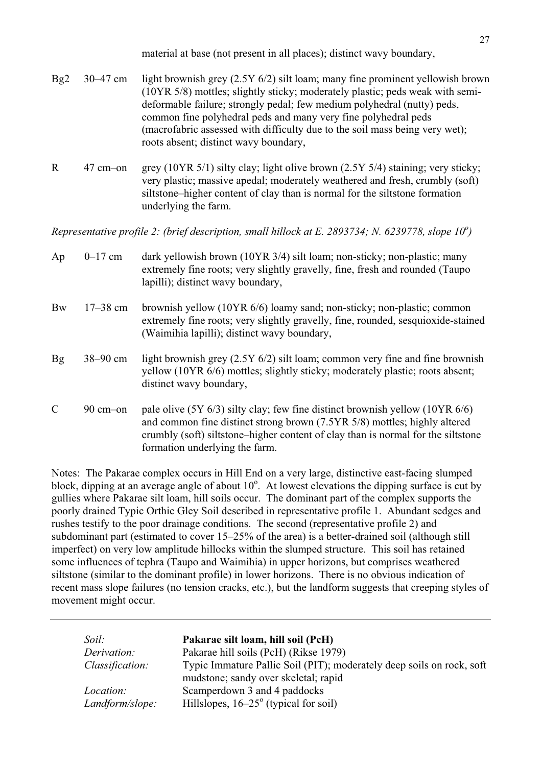material at base (not present in all places); distinct wavy boundary,

- Bg2 30–47 cm light brownish grey (2.5Y 6/2) silt loam; many fine prominent yellowish brown (10YR 5/8) mottles; slightly sticky; moderately plastic; peds weak with semideformable failure; strongly pedal; few medium polyhedral (nutty) peds, common fine polyhedral peds and many very fine polyhedral peds (macrofabric assessed with difficulty due to the soil mass being very wet); roots absent; distinct wavy boundary,
- R 47 cm–on grey (10YR 5/1) silty clay; light olive brown (2.5Y 5/4) staining; very sticky; very plastic; massive apedal; moderately weathered and fresh, crumbly (soft) siltstone–higher content of clay than is normal for the siltstone formation underlying the farm.

*Representative profile 2: (brief description, small hillock at E. 2893734; N. 6239778, slope 10<sup>o</sup>)* 

| Ap             | $0 - 17$ cm         | dark yellowish brown (10YR 3/4) silt loam; non-sticky; non-plastic; many<br>extremely fine roots; very slightly gravelly, fine, fresh and rounded (Taupo<br>lapilli); distinct wavy boundary,                                                                                       |
|----------------|---------------------|-------------------------------------------------------------------------------------------------------------------------------------------------------------------------------------------------------------------------------------------------------------------------------------|
| <b>Bw</b>      | $17 - 38$ cm        | brownish yellow (10YR 6/6) loamy sand; non-sticky; non-plastic; common<br>extremely fine roots; very slightly gravelly, fine, rounded, sesquioxide-stained<br>(Waimihia lapilli); distinct wavy boundary,                                                                           |
| $\mathbf{B}$ g | $38 - 90$ cm        | light brownish grey (2.5Y 6/2) silt loam; common very fine and fine brownish<br>yellow (10YR 6/6) mottles; slightly sticky; moderately plastic; roots absent;<br>distinct wavy boundary,                                                                                            |
| $\mathcal{C}$  | $90 \text{ cm}$ -on | pale olive $(5Y 6/3)$ silty clay; few fine distinct brownish yellow $(10YR 6/6)$<br>and common fine distinct strong brown (7.5YR 5/8) mottles; highly altered<br>crumbly (soft) siltstone–higher content of clay than is normal for the siltstone<br>formation underlying the farm. |

Notes: The Pakarae complex occurs in Hill End on a very large, distinctive east-facing slumped block, dipping at an average angle of about  $10^{\circ}$ . At lowest elevations the dipping surface is cut by gullies where Pakarae silt loam, hill soils occur. The dominant part of the complex supports the poorly drained Typic Orthic Gley Soil described in representative profile 1. Abundant sedges and rushes testify to the poor drainage conditions. The second (representative profile 2) and subdominant part (estimated to cover 15–25% of the area) is a better-drained soil (although still imperfect) on very low amplitude hillocks within the slumped structure. This soil has retained some influences of tephra (Taupo and Waimihia) in upper horizons, but comprises weathered siltstone (similar to the dominant profile) in lower horizons. There is no obvious indication of recent mass slope failures (no tension cracks, etc.), but the landform suggests that creeping styles of movement might occur.

| Soil:                               | Pakarae silt loam, hill soil (PcH)                                                                            |
|-------------------------------------|---------------------------------------------------------------------------------------------------------------|
| Derivation:                         | Pakarae hill soils (PcH) (Rikse 1979)                                                                         |
| Classification:                     | Typic Immature Pallic Soil (PIT); moderately deep soils on rock, soft<br>mudstone; sandy over skeletal; rapid |
| <i>Location:</i><br>Landform/slope: | Scamperdown 3 and 4 paddocks<br>Hillslopes, $16-25^\circ$ (typical for soil)                                  |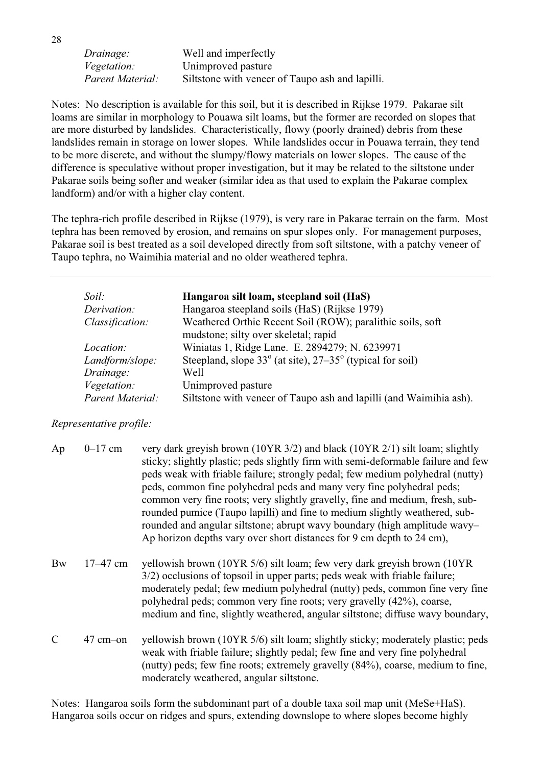*Drainage:* Well and imperfectly *Vegetation:* Unimproved pasture *Parent Material:* Siltstone with veneer of Taupo ash and lapilli.

Notes: No description is available for this soil, but it is described in Rijkse 1979. Pakarae silt loams are similar in morphology to Pouawa silt loams, but the former are recorded on slopes that are more disturbed by landslides. Characteristically, flowy (poorly drained) debris from these landslides remain in storage on lower slopes. While landslides occur in Pouawa terrain, they tend to be more discrete, and without the slumpy/flowy materials on lower slopes. The cause of the difference is speculative without proper investigation, but it may be related to the siltstone under Pakarae soils being softer and weaker (similar idea as that used to explain the Pakarae complex landform) and/or with a higher clay content.

The tephra-rich profile described in Rijkse (1979), is very rare in Pakarae terrain on the farm. Most tephra has been removed by erosion, and remains on spur slopes only. For management purposes, Pakarae soil is best treated as a soil developed directly from soft siltstone, with a patchy veneer of Taupo tephra, no Waimihia material and no older weathered tephra.

| Soil:            | Hangaroa silt loam, steepland soil (HaS)                                    |
|------------------|-----------------------------------------------------------------------------|
| Derivation:      | Hangaroa steepland soils (HaS) (Rijkse 1979)                                |
| Classification:  | Weathered Orthic Recent Soil (ROW); paralithic soils, soft                  |
|                  | mudstone; silty over skeletal; rapid                                        |
| <i>Location:</i> | Winiatas 1, Ridge Lane. E. 2894279; N. 6239971                              |
| Landform/slope:  | Steepland, slope $33^{\circ}$ (at site), $27-35^{\circ}$ (typical for soil) |
| Drainage:        | Well                                                                        |
| Vegetation:      | Unimproved pasture                                                          |
| Parent Material: | Siltstone with veneer of Taupo ash and lapilli (and Waimihia ash).          |

#### *Representative profile:*

| Ap        | $0 - 17$ cm  | very dark greyish brown (10YR 3/2) and black (10YR 2/1) silt loam; slightly<br>sticky; slightly plastic; peds slightly firm with semi-deformable failure and few<br>peds weak with friable failure; strongly pedal; few medium polyhedral (nutty)<br>peds, common fine polyhedral peds and many very fine polyhedral peds;<br>common very fine roots; very slightly gravelly, fine and medium, fresh, sub-<br>rounded pumice (Taupo lapilli) and fine to medium slightly weathered, sub-<br>rounded and angular siltstone; abrupt wavy boundary (high amplitude wavy-<br>Ap horizon depths vary over short distances for 9 cm depth to 24 cm), |
|-----------|--------------|------------------------------------------------------------------------------------------------------------------------------------------------------------------------------------------------------------------------------------------------------------------------------------------------------------------------------------------------------------------------------------------------------------------------------------------------------------------------------------------------------------------------------------------------------------------------------------------------------------------------------------------------|
| <b>Bw</b> | $17 - 47$ cm | yellowish brown (10YR 5/6) silt loam; few very dark greyish brown (10YR<br>3/2) occlusions of topsoil in upper parts; peds weak with friable failure;<br>moderately pedal; few medium polyhedral (nutty) peds, common fine very fine<br>polyhedral peds; common very fine roots; very gravelly (42%), coarse,<br>medium and fine, slightly weathered, angular siltstone; diffuse wavy boundary,                                                                                                                                                                                                                                                |
|           | $47$ cm-on   | yellowish brown (10YR 5/6) silt loam; slightly sticky; moderately plastic; peds<br>weak with friable failure; slightly pedal; few fine and very fine polyhedral<br>(nutty) peds; few fine roots; extremely gravelly (84%), coarse, medium to fine,<br>moderately weathered, angular siltstone.                                                                                                                                                                                                                                                                                                                                                 |

Notes: Hangaroa soils form the subdominant part of a double taxa soil map unit (MeSe+HaS). Hangaroa soils occur on ridges and spurs, extending downslope to where slopes become highly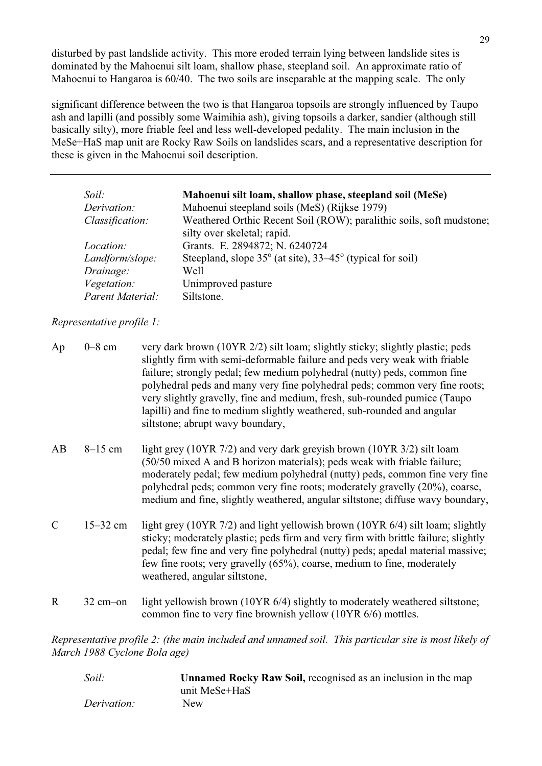disturbed by past landslide activity. This more eroded terrain lying between landslide sites is dominated by the Mahoenui silt loam, shallow phase, steepland soil. An approximate ratio of Mahoenui to Hangaroa is 60/40. The two soils are inseparable at the mapping scale. The only

significant difference between the two is that Hangaroa topsoils are strongly influenced by Taupo ash and lapilli (and possibly some Waimihia ash), giving topsoils a darker, sandier (although still basically silty), more friable feel and less well-developed pedality. The main inclusion in the MeSe+HaS map unit are Rocky Raw Soils on landslides scars, and a representative description for these is given in the Mahoenui soil description.

| Soil: |                  | Mahoenui silt loam, shallow phase, steepland soil (MeSe)                    |
|-------|------------------|-----------------------------------------------------------------------------|
|       | Derivation:      | Mahoenui steepland soils (MeS) (Rijkse 1979)                                |
|       | Classification:  | Weathered Orthic Recent Soil (ROW); paralithic soils, soft mudstone;        |
|       |                  | silty over skeletal; rapid.                                                 |
|       | <i>Location:</i> | Grants. E. 2894872; N. 6240724                                              |
|       | Landform/slope:  | Steepland, slope $35^{\circ}$ (at site), $33-45^{\circ}$ (typical for soil) |
|       | Drainage:        | Well                                                                        |
|       | Vegetation:      | Unimproved pasture                                                          |
|       | Parent Material: | Siltstone.                                                                  |

*Representative profile 1:*

| Ap            | $0-8$ cm            | very dark brown (10YR 2/2) silt loam; slightly sticky; slightly plastic; peds<br>slightly firm with semi-deformable failure and peds very weak with friable<br>failure; strongly pedal; few medium polyhedral (nutty) peds, common fine<br>polyhedral peds and many very fine polyhedral peds; common very fine roots;<br>very slightly gravelly, fine and medium, fresh, sub-rounded pumice (Taupo<br>lapilli) and fine to medium slightly weathered, sub-rounded and angular<br>siltstone; abrupt wavy boundary, |
|---------------|---------------------|--------------------------------------------------------------------------------------------------------------------------------------------------------------------------------------------------------------------------------------------------------------------------------------------------------------------------------------------------------------------------------------------------------------------------------------------------------------------------------------------------------------------|
| AB            | $8-15$ cm           | light grey (10YR $7/2$ ) and very dark greyish brown (10YR $3/2$ ) silt loam<br>(50/50 mixed A and B horizon materials); peds weak with friable failure;<br>moderately pedal; few medium polyhedral (nutty) peds, common fine very fine<br>polyhedral peds; common very fine roots; moderately gravelly (20%), coarse,<br>medium and fine, slightly weathered, angular siltstone; diffuse wavy boundary,                                                                                                           |
| $\mathcal{C}$ | $15 - 32$ cm        | light grey (10YR 7/2) and light yellowish brown (10YR 6/4) silt loam; slightly<br>sticky; moderately plastic; peds firm and very firm with brittle failure; slightly<br>pedal; few fine and very fine polyhedral (nutty) peds; apedal material massive;<br>few fine roots; very gravelly (65%), coarse, medium to fine, moderately<br>weathered, angular siltstone,                                                                                                                                                |
| $\mathbf R$   | $32 \text{ cm}$ -on | light yellowish brown (10YR 6/4) slightly to moderately weathered siltstone;<br>common fine to very fine brownish yellow $(10YR 6/6)$ mottles.                                                                                                                                                                                                                                                                                                                                                                     |
|               |                     | Representative profile $2 \cdot$ (the main included and unnamed soil. This particular site is most likely of                                                                                                                                                                                                                                                                                                                                                                                                       |

*Representative profile 2: (the main included and unnamed soil. This particular site is most likely of March 1988 Cyclone Bola age)* 

| Soil:       | <b>Unnamed Rocky Raw Soil, recognised as an inclusion in the map</b> |
|-------------|----------------------------------------------------------------------|
|             | unit MeSe+HaS                                                        |
| Derivation: | <b>New</b>                                                           |